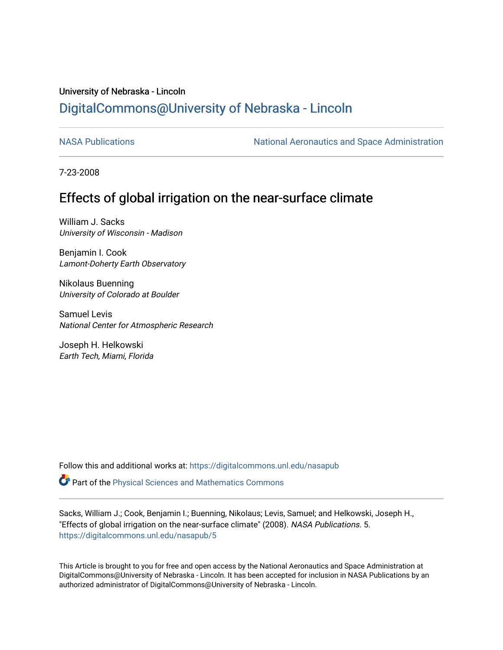# University of Nebraska - Lincoln [DigitalCommons@University of Nebraska - Lincoln](https://digitalcommons.unl.edu/)

[NASA Publications](https://digitalcommons.unl.edu/nasapub) **National Aeronautics and Space Administration** 

7-23-2008

# Effects of global irrigation on the near-surface climate

William J. Sacks University of Wisconsin - Madison

Benjamin I. Cook Lamont-Doherty Earth Observatory

Nikolaus Buenning University of Colorado at Boulder

Samuel Levis National Center for Atmospheric Research

Joseph H. Helkowski Earth Tech, Miami, Florida

Follow this and additional works at: [https://digitalcommons.unl.edu/nasapub](https://digitalcommons.unl.edu/nasapub?utm_source=digitalcommons.unl.edu%2Fnasapub%2F5&utm_medium=PDF&utm_campaign=PDFCoverPages) 

**C** Part of the Physical Sciences and Mathematics Commons

Sacks, William J.; Cook, Benjamin I.; Buenning, Nikolaus; Levis, Samuel; and Helkowski, Joseph H., "Effects of global irrigation on the near-surface climate" (2008). NASA Publications. 5. [https://digitalcommons.unl.edu/nasapub/5](https://digitalcommons.unl.edu/nasapub/5?utm_source=digitalcommons.unl.edu%2Fnasapub%2F5&utm_medium=PDF&utm_campaign=PDFCoverPages) 

This Article is brought to you for free and open access by the National Aeronautics and Space Administration at DigitalCommons@University of Nebraska - Lincoln. It has been accepted for inclusion in NASA Publications by an authorized administrator of DigitalCommons@University of Nebraska - Lincoln.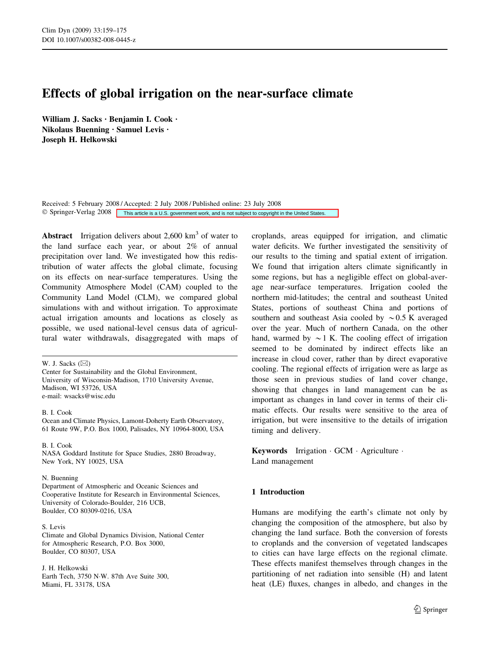## Effects of global irrigation on the near-surface climate

William J. Sacks · Benjamin I. Cook · Nikolaus Buenning · Samuel Levis · Joseph H. Helkowski

Received: 5 February 2008 / Accepted: 2 July 2008 / Published online: 23 July 2008 © Springer-Verlag 2008 This article is a U.S. government work, and is not subject to copyright in the United States.

**Abstract** Irrigation delivers about 2,600  $km<sup>3</sup>$  of water to the land surface each year, or about 2% of annual precipitation over land. We investigated how this redistribution of water affects the global climate, focusing on its effects on near-surface temperatures. Using the Community Atmosphere Model (CAM) coupled to the Community Land Model (CLM), we compared global simulations with and without irrigation. To approximate actual irrigation amounts and locations as closely as possible, we used national-level census data of agricultural water withdrawals, disaggregated with maps of

W. J. Sacks  $(\boxtimes)$ 

Center for Sustainability and the Global Environment, University of Wisconsin-Madison, 1710 University Avenue, Madison, WI 53726, USA e-mail: wsacks@wisc.edu

#### B. I. Cook

Ocean and Climate Physics, Lamont-Doherty Earth Observatory, 61 Route 9W, P.O. Box 1000, Palisades, NY 10964-8000, USA

#### B. I. Cook

NASA Goddard Institute for Space Studies, 2880 Broadway, New York, NY 10025, USA

#### N. Buenning

Department of Atmospheric and Oceanic Sciences and Cooperative Institute for Research in Environmental Sciences, University of Colorado-Boulder, 216 UCB, Boulder, CO 80309-0216, USA

#### S. Levis

Climate and Global Dynamics Division, National Center for Atmospheric Research, P.O. Box 3000, Boulder, CO 80307, USA

#### J. H. Helkowski

Earth Tech, 3750 N·W. 87th Ave Suite 300, Miami, FL 33178, USA

croplands, areas equipped for irrigation, and climatic water deficits. We further investigated the sensitivity of our results to the timing and spatial extent of irrigation. We found that irrigation alters climate significantly in some regions, but has a negligible effect on global-average near-surface temperatures. Irrigation cooled the northern mid-latitudes; the central and southeast United States, portions of southeast China and portions of southern and southeast Asia cooled by  $\sim 0.5$  K averaged over the year. Much of northern Canada, on the other hand, warmed by  $\sim$  1 K. The cooling effect of irrigation seemed to be dominated by indirect effects like an increase in cloud cover, rather than by direct evaporative cooling. The regional effects of irrigation were as large as those seen in previous studies of land cover change, showing that changes in land management can be as important as changes in land cover in terms of their climatic effects. Our results were sensitive to the area of irrigation, but were insensitive to the details of irrigation timing and delivery.

Keywords Irrigation  $\cdot$  GCM  $\cdot$  Agriculture  $\cdot$ Land management

#### 1 Introduction

Humans are modifying the earth's climate not only by changing the composition of the atmosphere, but also by changing the land surface. Both the conversion of forests to croplands and the conversion of vegetated landscapes to cities can have large effects on the regional climate. These effects manifest themselves through changes in the partitioning of net radiation into sensible (H) and latent heat (LE) fluxes, changes in albedo, and changes in the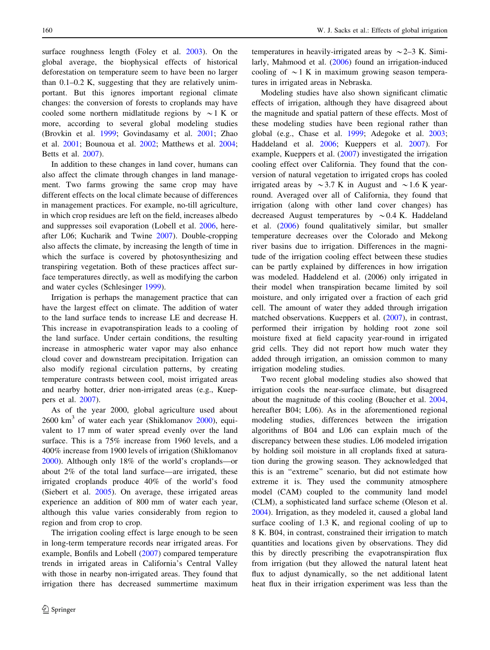surface roughness length (Foley et al. [2003](#page-16-0)). On the global average, the biophysical effects of historical deforestation on temperature seem to have been no larger than 0.1–0.2 K, suggesting that they are relatively unimportant. But this ignores important regional climate changes: the conversion of forests to croplands may have cooled some northern midlatitude regions by  $\sim$ 1 K or more, according to several global modeling studies (Brovkin et al. [1999](#page-16-0); Govindasamy et al. [2001;](#page-16-0) Zhao et al. [2001;](#page-17-0) Bounoua et al. [2002;](#page-16-0) Matthews et al. [2004](#page-17-0); Betts et al. [2007\)](#page-16-0).

In addition to these changes in land cover, humans can also affect the climate through changes in land management. Two farms growing the same crop may have different effects on the local climate because of differences in management practices. For example, no-till agriculture, in which crop residues are left on the field, increases albedo and suppresses soil evaporation (Lobell et al. [2006](#page-17-0), hereafter L06; Kucharik and Twine [2007](#page-17-0)). Double-cropping also affects the climate, by increasing the length of time in which the surface is covered by photosynthesizing and transpiring vegetation. Both of these practices affect surface temperatures directly, as well as modifying the carbon and water cycles (Schlesinger [1999](#page-17-0)).

Irrigation is perhaps the management practice that can have the largest effect on climate. The addition of water to the land surface tends to increase LE and decrease H. This increase in evapotranspiration leads to a cooling of the land surface. Under certain conditions, the resulting increase in atmospheric water vapor may also enhance cloud cover and downstream precipitation. Irrigation can also modify regional circulation patterns, by creating temperature contrasts between cool, moist irrigated areas and nearby hotter, drier non-irrigated areas (e.g., Kueppers et al. [2007\)](#page-17-0).

As of the year 2000, global agriculture used about  $2600 \text{ km}^3$  of water each year (Shiklomanov  $2000$ ), equivalent to 17 mm of water spread evenly over the land surface. This is a 75% increase from 1960 levels, and a 400% increase from 1900 levels of irrigation (Shiklomanov [2000\)](#page-17-0). Although only 18% of the world's croplands—or about 2% of the total land surface—are irrigated, these irrigated croplands produce 40% of the world's food (Siebert et al. [2005\)](#page-17-0). On average, these irrigated areas experience an addition of 800 mm of water each year, although this value varies considerably from region to region and from crop to crop.

The irrigation cooling effect is large enough to be seen in long-term temperature records near irrigated areas. For example, Bonfils and Lobell [\(2007](#page-16-0)) compared temperature trends in irrigated areas in California's Central Valley with those in nearby non-irrigated areas. They found that irrigation there has decreased summertime maximum

temperatures in heavily-irrigated areas by  $\sim$  2–3 K. Similarly, Mahmood et al. [\(2006](#page-17-0)) found an irrigation-induced cooling of  $\sim$  1 K in maximum growing season temperatures in irrigated areas in Nebraska.

Modeling studies have also shown significant climatic effects of irrigation, although they have disagreed about the magnitude and spatial pattern of these effects. Most of these modeling studies have been regional rather than global (e.g., Chase et al. [1999](#page-16-0); Adegoke et al. [2003](#page-16-0); Haddeland et al. [2006](#page-16-0); Kueppers et al. [2007](#page-17-0)). For example, Kueppers et al. ([2007\)](#page-17-0) investigated the irrigation cooling effect over California. They found that the conversion of natural vegetation to irrigated crops has cooled irrigated areas by  $\sim$  3.7 K in August and  $\sim$  1.6 K yearround. Averaged over all of California, they found that irrigation (along with other land cover changes) has decreased August temperatures by  $\sim 0.4$  K. Haddeland et al. [\(2006](#page-16-0)) found qualitatively similar, but smaller temperature decreases over the Colorado and Mekong river basins due to irrigation. Differences in the magnitude of the irrigation cooling effect between these studies can be partly explained by differences in how irrigation was modeled. Haddelend et al. (2006) only irrigated in their model when transpiration became limited by soil moisture, and only irrigated over a fraction of each grid cell. The amount of water they added through irrigation matched observations. Kueppers et al. [\(2007](#page-17-0)), in contrast, performed their irrigation by holding root zone soil moisture fixed at field capacity year-round in irrigated grid cells. They did not report how much water they added through irrigation, an omission common to many irrigation modeling studies.

Two recent global modeling studies also showed that irrigation cools the near-surface climate, but disagreed about the magnitude of this cooling (Boucher et al. [2004,](#page-16-0) hereafter B04; L06). As in the aforementioned regional modeling studies, differences between the irrigation algorithms of B04 and L06 can explain much of the discrepancy between these studies. L06 modeled irrigation by holding soil moisture in all croplands fixed at saturation during the growing season. They acknowledged that this is an ''extreme'' scenario, but did not estimate how extreme it is. They used the community atmosphere model (CAM) coupled to the community land model (CLM), a sophisticated land surface scheme (Oleson et al. [2004](#page-17-0)). Irrigation, as they modeled it, caused a global land surface cooling of 1.3 K, and regional cooling of up to 8 K. B04, in contrast, constrained their irrigation to match quantities and locations given by observations. They did this by directly prescribing the evapotranspiration flux from irrigation (but they allowed the natural latent heat flux to adjust dynamically, so the net additional latent heat flux in their irrigation experiment was less than the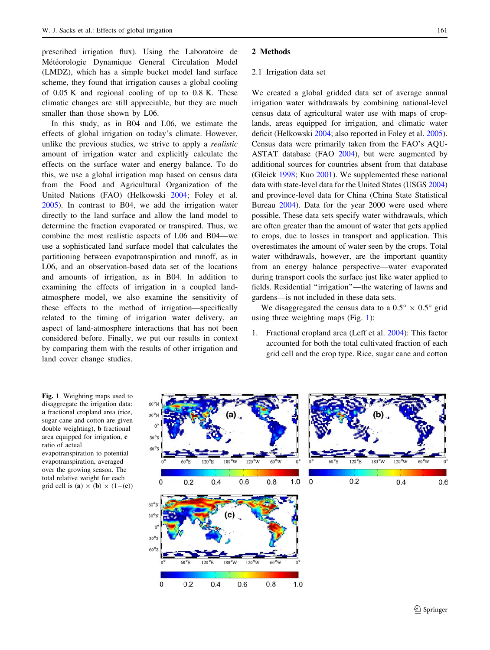<span id="page-3-0"></span>prescribed irrigation flux). Using the Laboratoire de Météorologie Dynamique General Circulation Model (LMDZ), which has a simple bucket model land surface scheme, they found that irrigation causes a global cooling of 0.05 K and regional cooling of up to 0.8 K. These climatic changes are still appreciable, but they are much smaller than those shown by L06.

In this study, as in B04 and L06, we estimate the effects of global irrigation on today's climate. However, unlike the previous studies, we strive to apply a realistic amount of irrigation water and explicitly calculate the effects on the surface water and energy balance. To do this, we use a global irrigation map based on census data from the Food and Agricultural Organization of the United Nations (FAO) (Helkowski [2004;](#page-16-0) Foley et al. [2005\)](#page-16-0). In contrast to B04, we add the irrigation water directly to the land surface and allow the land model to determine the fraction evaporated or transpired. Thus, we combine the most realistic aspects of L06 and B04—we use a sophisticated land surface model that calculates the partitioning between evapotranspiration and runoff, as in L06, and an observation-based data set of the locations and amounts of irrigation, as in B04. In addition to examining the effects of irrigation in a coupled landatmosphere model, we also examine the sensitivity of these effects to the method of irrigation—specifically related to the timing of irrigation water delivery, an aspect of land-atmosphere interactions that has not been considered before. Finally, we put our results in context by comparing them with the results of other irrigation and land cover change studies.

#### 2 Methods

#### 2.1 Irrigation data set

We created a global gridded data set of average annual irrigation water withdrawals by combining national-level census data of agricultural water use with maps of croplands, areas equipped for irrigation, and climatic water deficit (Helkowski [2004](#page-16-0); also reported in Foley et al. [2005](#page-16-0)). Census data were primarily taken from the FAO's AQU-ASTAT database (FAO [2004](#page-16-0)), but were augmented by additional sources for countries absent from that database (Gleick [1998;](#page-16-0) Kuo [2001\)](#page-17-0). We supplemented these national data with state-level data for the United States (USGS [2004\)](#page-17-0) and province-level data for China (China State Statistical Bureau [2004\)](#page-16-0). Data for the year 2000 were used where possible. These data sets specify water withdrawals, which are often greater than the amount of water that gets applied to crops, due to losses in transport and application. This overestimates the amount of water seen by the crops. Total water withdrawals, however, are the important quantity from an energy balance perspective—water evaporated during transport cools the surface just like water applied to fields. Residential ''irrigation''—the watering of lawns and gardens—is not included in these data sets.

We disaggregated the census data to a  $0.5^{\circ} \times 0.5^{\circ}$  grid using three weighting maps (Fig. 1):

1. Fractional cropland area (Leff et al. [2004](#page-17-0)): This factor accounted for both the total cultivated fraction of each grid cell and the crop type. Rice, sugar cane and cotton

Fig. 1 Weighting maps used to disaggregate the irrigation data: a fractional cropland area (rice, sugar cane and cotton are given double weighting), b fractional area equipped for irrigation, c ratio of actual

evapotranspiration to potential evapotranspiration, averaged over the growing season. The total relative weight for each grid cell is (a)  $\times$  (b)  $\times$  (1-(c))

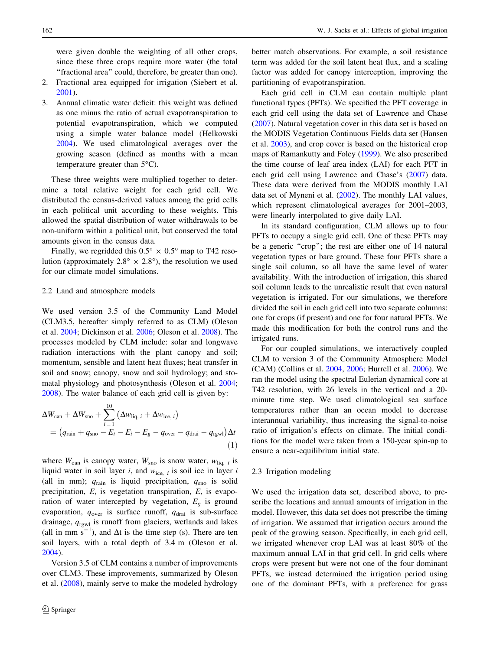were given double the weighting of all other crops, since these three crops require more water (the total "fractional area" could, therefore, be greater than one).

- 2. Fractional area equipped for irrigation (Siebert et al. [2001](#page-17-0)).
- 3. Annual climatic water deficit: this weight was defined as one minus the ratio of actual evapotranspiration to potential evapotranspiration, which we computed using a simple water balance model (Helkowski [2004](#page-16-0)). We used climatological averages over the growing season (defined as months with a mean temperature greater than  $5^{\circ}$ C).

These three weights were multiplied together to determine a total relative weight for each grid cell. We distributed the census-derived values among the grid cells in each political unit according to these weights. This allowed the spatial distribution of water withdrawals to be non-uniform within a political unit, but conserved the total amounts given in the census data.

Finally, we regridded this  $0.5^{\circ} \times 0.5^{\circ}$  map to T42 resolution (approximately  $2.8^{\circ} \times 2.8^{\circ}$ ), the resolution we used for our climate model simulations.

#### 2.2 Land and atmosphere models

We used version 3.5 of the Community Land Model (CLM3.5, hereafter simply referred to as CLM) (Oleson et al. [2004;](#page-17-0) Dickinson et al. [2006;](#page-16-0) Oleson et al. [2008\)](#page-17-0). The processes modeled by CLM include: solar and longwave radiation interactions with the plant canopy and soil; momentum, sensible and latent heat fluxes; heat transfer in soil and snow; canopy, snow and soil hydrology; and stomatal physiology and photosynthesis (Oleson et al. [2004](#page-17-0); [2008\)](#page-17-0). The water balance of each grid cell is given by:

$$
\Delta W_{\text{can}} + \Delta W_{\text{sno}} + \sum_{i=1}^{10} \left( \Delta w_{\text{liq}, i} + \Delta w_{\text{ice}, i} \right)
$$
  
=  $(q_{\text{rain}} + q_{\text{sno}} - E_t - E_i - E_g - q_{\text{over}} - q_{\text{drai}} - q_{\text{rgwl}}) \Delta t$  (1)

where  $W_{\text{can}}$  is canopy water,  $W_{\text{sno}}$  is snow water,  $W_{\text{liq, }i}$  is liquid water in soil layer *i*, and  $w_{\text{ice, }i}$  is soil ice in layer *i* (all in mm);  $q_{\text{rain}}$  is liquid precipitation,  $q_{\text{smo}}$  is solid precipitation,  $E_t$  is vegetation transpiration,  $E_i$  is evaporation of water intercepted by vegetation,  $E_g$  is ground evaporation,  $q_{over}$  is surface runoff,  $q_{\text{drai}}$  is sub-surface drainage,  $q_{\text{rgwl}}$  is runoff from glaciers, wetlands and lakes (all in mm  $s^{-1}$ ), and  $\Delta t$  is the time step (s). There are ten soil layers, with a total depth of 3.4 m (Oleson et al. [2004\)](#page-17-0).

Version 3.5 of CLM contains a number of improvements over CLM3. These improvements, summarized by Oleson et al. [\(2008](#page-17-0)), mainly serve to make the modeled hydrology better match observations. For example, a soil resistance term was added for the soil latent heat flux, and a scaling factor was added for canopy interception, improving the partitioning of evapotranspiration.

Each grid cell in CLM can contain multiple plant functional types (PFTs). We specified the PFT coverage in each grid cell using the data set of Lawrence and Chase [\(2007](#page-17-0)). Natural vegetation cover in this data set is based on the MODIS Vegetation Continuous Fields data set (Hansen et al. [2003](#page-16-0)), and crop cover is based on the historical crop maps of Ramankutty and Foley ([1999\)](#page-17-0). We also prescribed the time course of leaf area index (LAI) for each PFT in each grid cell using Lawrence and Chase's [\(2007](#page-17-0)) data. These data were derived from the MODIS monthly LAI data set of Myneni et al. [\(2002](#page-17-0)). The monthly LAI values, which represent climatological averages for 2001–2003, were linearly interpolated to give daily LAI.

In its standard configuration, CLM allows up to four PFTs to occupy a single grid cell. One of these PFTs may be a generic "crop"; the rest are either one of 14 natural vegetation types or bare ground. These four PFTs share a single soil column, so all have the same level of water availability. With the introduction of irrigation, this shared soil column leads to the unrealistic result that even natural vegetation is irrigated. For our simulations, we therefore divided the soil in each grid cell into two separate columns: one for crops (if present) and one for four natural PFTs. We made this modification for both the control runs and the irrigated runs.

For our coupled simulations, we interactively coupled CLM to version 3 of the Community Atmosphere Model (CAM) (Collins et al. [2004](#page-16-0), [2006](#page-16-0); Hurrell et al. [2006\)](#page-16-0). We ran the model using the spectral Eulerian dynamical core at T42 resolution, with 26 levels in the vertical and a 20 minute time step. We used climatological sea surface temperatures rather than an ocean model to decrease interannual variability, thus increasing the signal-to-noise ratio of irrigation's effects on climate. The initial conditions for the model were taken from a 150-year spin-up to ensure a near-equilibrium initial state.

#### 2.3 Irrigation modeling

We used the irrigation data set, described above, to prescribe the locations and annual amounts of irrigation in the model. However, this data set does not prescribe the timing of irrigation. We assumed that irrigation occurs around the peak of the growing season. Specifically, in each grid cell, we irrigated whenever crop LAI was at least 80% of the maximum annual LAI in that grid cell. In grid cells where crops were present but were not one of the four dominant PFTs, we instead determined the irrigation period using one of the dominant PFTs, with a preference for grass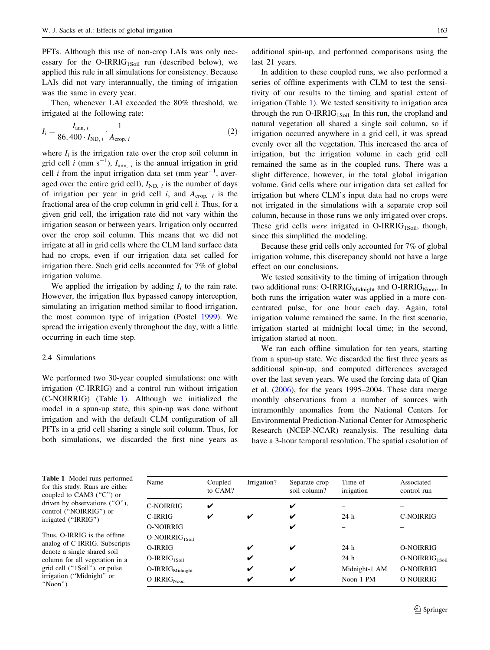<span id="page-5-0"></span>PFTs. Although this use of non-crop LAIs was only necessary for the O-IRRIG<sub>1Soil</sub> run (described below), we applied this rule in all simulations for consistency. Because LAIs did not vary interannually, the timing of irrigation was the same in every year.

Then, whenever LAI exceeded the 80% threshold, we irrigated at the following rate:

$$
I_i = \frac{I_{\text{ann}, i}}{86,400 \cdot I_{\text{ND}, i}} \cdot \frac{1}{A_{\text{crop}, i}}
$$
(2)

where  $I_i$  is the irrigation rate over the crop soil column in grid cell *i* (mm s<sup>-1</sup>),  $I_{\text{ann},i}$  is the annual irrigation in grid cell *i* from the input irrigation data set (mm year<sup>-1</sup>, averaged over the entire grid cell),  $I_{ND, i}$  is the number of days of irrigation per year in grid cell i, and  $A_{\rm{crop}, i}$  is the fractional area of the crop column in grid cell *i*. Thus, for a given grid cell, the irrigation rate did not vary within the irrigation season or between years. Irrigation only occurred over the crop soil column. This means that we did not irrigate at all in grid cells where the CLM land surface data had no crops, even if our irrigation data set called for irrigation there. Such grid cells accounted for 7% of global irrigation volume.

We applied the irrigation by adding  $I_i$  to the rain rate. However, the irrigation flux bypassed canopy interception, simulating an irrigation method similar to flood irrigation, the most common type of irrigation (Postel [1999](#page-17-0)). We spread the irrigation evenly throughout the day, with a little occurring in each time step.

#### 2.4 Simulations

We performed two 30-year coupled simulations: one with irrigation (C-IRRIG) and a control run without irrigation (C-NOIRRIG) (Table 1). Although we initialized the model in a spun-up state, this spin-up was done without irrigation and with the default CLM configuration of all PFTs in a grid cell sharing a single soil column. Thus, for both simulations, we discarded the first nine years as

additional spin-up, and performed comparisons using the last 21 years.

In addition to these coupled runs, we also performed a series of offline experiments with CLM to test the sensitivity of our results to the timing and spatial extent of irrigation (Table 1). We tested sensitivity to irrigation area through the run O-IRRIG<sub>1Soil</sub>. In this run, the cropland and natural vegetation all shared a single soil column, so if irrigation occurred anywhere in a grid cell, it was spread evenly over all the vegetation. This increased the area of irrigation, but the irrigation volume in each grid cell remained the same as in the coupled runs. There was a slight difference, however, in the total global irrigation volume. Grid cells where our irrigation data set called for irrigation but where CLM's input data had no crops were not irrigated in the simulations with a separate crop soil column, because in those runs we only irrigated over crops. These grid cells were irrigated in O-IRRIG<sub>1Soil</sub>, though, since this simplified the modeling.

Because these grid cells only accounted for 7% of global irrigation volume, this discrepancy should not have a large effect on our conclusions.

We tested sensitivity to the timing of irrigation through two additional runs: O-IRRIG $_{\text{Midnight}}$  and O-IRRIG $_{\text{Noon}}$ . In both runs the irrigation water was applied in a more concentrated pulse, for one hour each day. Again, total irrigation volume remained the same. In the first scenario, irrigation started at midnight local time; in the second, irrigation started at noon.

We ran each offline simulation for ten years, starting from a spun-up state. We discarded the first three years as additional spin-up, and computed differences averaged over the last seven years. We used the forcing data of Qian et al. [\(2006\)](#page-17-0), for the years 1995–2004. These data merge monthly observations from a number of sources with intramonthly anomalies from the National Centers for Environmental Prediction-National Center for Atmospheric Research (NCEP-NCAR) reanalysis. The resulting data have a 3-hour temporal resolution. The spatial resolution of

Table 1 Model runs performed for this study. Runs are either coupled to CAM3 (''C'') or driven by observations ("O"), control (''NOIRRIG'') or irrigated ("IRRIG")

Thus, O-IRRIG is the offline analog of C-IRRIG. Subscripts denote a single shared soil column for all vegetation in a grid cell (''1Soil''), or pulse irrigation (''Midnight'' or ''Noon'')

| Name                              | Coupled<br>to CAM? | Irrigation? | Separate crop<br>soil column? | Time of<br>irrigation | Associated<br>control run |
|-----------------------------------|--------------------|-------------|-------------------------------|-----------------------|---------------------------|
| C-NOIRRIG                         | ✓                  |             | V                             |                       |                           |
| C-IRRIG                           | ✔                  | V           | V                             | 24 <sub>h</sub>       | <b>C-NOIRRIG</b>          |
| O-NOIRRIG                         |                    |             | V                             |                       |                           |
| O-NOIRRIG <sub>1Soil</sub>        |                    |             |                               |                       |                           |
| O-IRRIG                           |                    | ✔           | V                             | 24 <sub>h</sub>       | <b>O-NOIRRIG</b>          |
| $O$ -IRRI $G_{1}$ <sub>Soil</sub> |                    | V           |                               | 24 <sub>h</sub>       | O-NOIRRIG1Soil            |
| $O$ -IRRI $G_{\text{Midnight}}$   |                    | V           | V                             | Midnight-1 AM         | <b>O-NOIRRIG</b>          |
| $O$ -IRRI $G_{Noon}$              |                    | ✔           | V                             | Noon-1 PM             | <b>O-NOIRRIG</b>          |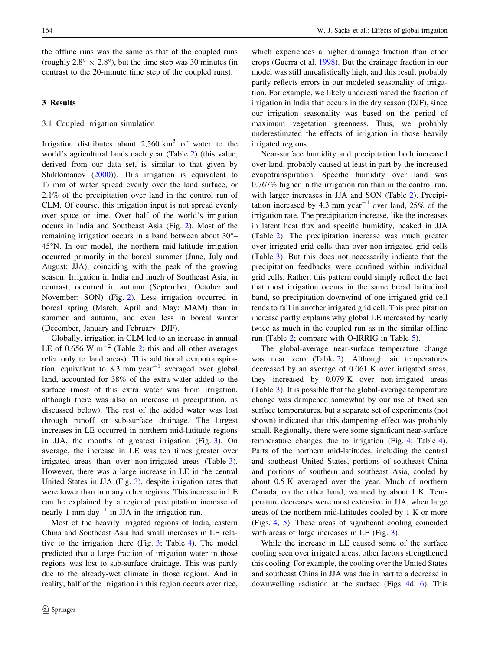the offline runs was the same as that of the coupled runs (roughly  $2.8^{\circ} \times 2.8^{\circ}$ ), but the time step was 30 minutes (in contrast to the 20-minute time step of the coupled runs).

## 3 Results

#### 3.1 Coupled irrigation simulation

Irrigation distributes about  $2,560 \text{ km}^3$  of water to the world's agricultural lands each year (Table [2\)](#page-7-0) (this value, derived from our data set, is similar to that given by Shiklomanov ([2000](#page-17-0))). This irrigation is equivalent to 17 mm of water spread evenly over the land surface, or 2.1% of the precipitation over land in the control run of CLM. Of course, this irrigation input is not spread evenly over space or time. Over half of the world's irrigation occurs in India and Southeast Asia (Fig. [2\)](#page-8-0). Most of the remaining irrigation occurs in a band between about 30°-45°N. In our model, the northern mid-latitude irrigation occurred primarily in the boreal summer (June, July and August: JJA), coinciding with the peak of the growing season. Irrigation in India and much of Southeast Asia, in contrast, occurred in autumn (September, October and November: SON) (Fig. [2](#page-8-0)). Less irrigation occurred in boreal spring (March, April and May: MAM) than in summer and autumn, and even less in boreal winter (December, January and February: DJF).

Globally, irrigation in CLM led to an increase in annual LE of 0.656 W  $m^{-2}$  $m^{-2}$  $m^{-2}$  (Table 2; this and all other averages refer only to land areas). This additional evapotranspiration, equivalent to 8.3 mm year<sup>-1</sup> averaged over global land, accounted for 38% of the extra water added to the surface (most of this extra water was from irrigation, although there was also an increase in precipitation, as discussed below). The rest of the added water was lost through runoff or sub-surface drainage. The largest increases in LE occurred in northern mid-latitude regions in JJA, the months of greatest irrigation (Fig. [3](#page-9-0)). On average, the increase in LE was ten times greater over irrigated areas than over non-irrigated areas (Table [3](#page-10-0)). However, there was a large increase in LE in the central United States in JJA (Fig. [3\)](#page-9-0), despite irrigation rates that were lower than in many other regions. This increase in LE can be explained by a regional precipitation increase of nearly 1 mm day<sup>-1</sup> in JJA in the irrigation run.

Most of the heavily irrigated regions of India, eastern China and Southeast Asia had small increases in LE relative to the irrigation there (Fig. [3;](#page-9-0) Table [4](#page-10-0)). The model predicted that a large fraction of irrigation water in those regions was lost to sub-surface drainage. This was partly due to the already-wet climate in those regions. And in reality, half of the irrigation in this region occurs over rice,

which experiences a higher drainage fraction than other crops (Guerra et al. [1998](#page-16-0)). But the drainage fraction in our model was still unrealistically high, and this result probably partly reflects errors in our modeled seasonality of irrigation. For example, we likely underestimated the fraction of irrigation in India that occurs in the dry season (DJF), since our irrigation seasonality was based on the period of maximum vegetation greenness. Thus, we probably underestimated the effects of irrigation in those heavily irrigated regions.

Near-surface humidity and precipitation both increased over land, probably caused at least in part by the increased evapotranspiration. Specific humidity over land was 0.767% higher in the irrigation run than in the control run, with larger increases in JJA and SON (Table [2\)](#page-7-0). Precipitation increased by 4.3 mm year<sup>-1</sup> over land, 25% of the irrigation rate. The precipitation increase, like the increases in latent heat flux and specific humidity, peaked in JJA (Table [2\)](#page-7-0). The precipitation increase was much greater over irrigated grid cells than over non-irrigated grid cells (Table [3\)](#page-10-0). But this does not necessarily indicate that the precipitation feedbacks were confined within individual grid cells. Rather, this pattern could simply reflect the fact that most irrigation occurs in the same broad latitudinal band, so precipitation downwind of one irrigated grid cell tends to fall in another irrigated grid cell. This precipitation increase partly explains why global LE increased by nearly twice as much in the coupled run as in the similar offline run (Table [2](#page-7-0); compare with O-IRRIG in Table [5\)](#page-11-0).

The global-average near-surface temperature change was near zero (Table [2](#page-7-0)). Although air temperatures decreased by an average of 0.061 K over irrigated areas, they increased by 0.079 K over non-irrigated areas (Table [3\)](#page-10-0). It is possible that the global-average temperature change was dampened somewhat by our use of fixed sea surface temperatures, but a separate set of experiments (not shown) indicated that this dampening effect was probably small. Regionally, there were some significant near-surface temperature changes due to irrigation (Fig. [4](#page-11-0); Table [4](#page-10-0)). Parts of the northern mid-latitudes, including the central and southeast United States, portions of southeast China and portions of southern and southeast Asia, cooled by about 0.5 K averaged over the year. Much of northern Canada, on the other hand, warmed by about 1 K. Temperature decreases were most extensive in JJA, when large areas of the northern mid-latitudes cooled by 1 K or more (Figs. [4](#page-11-0), [5](#page-12-0)). These areas of significant cooling coincided with areas of large increases in LE (Fig. [3](#page-9-0)).

While the increase in LE caused some of the surface cooling seen over irrigated areas, other factors strengthened this cooling. For example, the cooling over the United States and southeast China in JJA was due in part to a decrease in downwelling radiation at the surface (Figs. [4](#page-11-0)d, [6\)](#page-12-0). This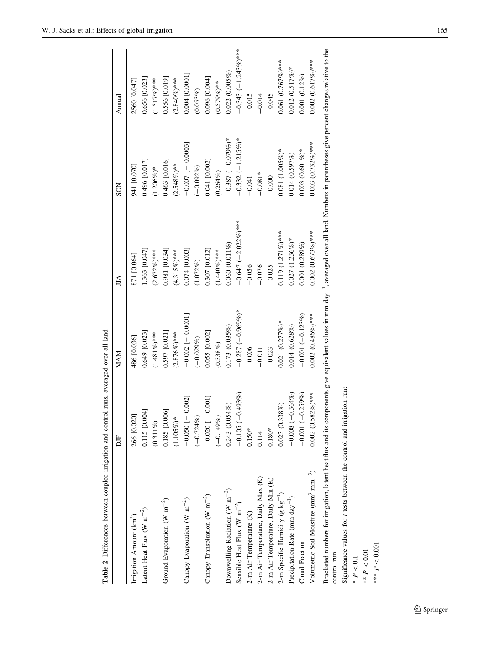<span id="page-7-0"></span>

|                                                                                                                                                                                                                           | DJF                     | MAM                    | ЛA                      | <b>SON</b>              | Annual                      |
|---------------------------------------------------------------------------------------------------------------------------------------------------------------------------------------------------------------------------|-------------------------|------------------------|-------------------------|-------------------------|-----------------------------|
| Irrigation Amount (km <sup>3</sup> )                                                                                                                                                                                      | 266 [0.020]             | 486 [0.036]            | 871 [0.064]             | 941 [0.070]             | 2560 [0.047]                |
| Latent Heat Flux (W $m^{-2}$ )                                                                                                                                                                                            | 0.115 [0.004]           | 0.649 [0.023]          | 1.363 [0.047]           | 0.496 [0.017]           | 0.656 [0.023]               |
|                                                                                                                                                                                                                           | (0.311%)                | $(1.481\%)***$         | $(2.672\%)***$          | $(1.206\%)*$            | $(1.517\%)***$              |
| Ground Evaporation (W $\mathrm{m}^{-2}$                                                                                                                                                                                   | $0.185$ [0.006]         | 0.597 [0.021]          | 0.981 [0.034]           | $0.463$ [0.016]         | 0.556 [0.019]               |
|                                                                                                                                                                                                                           | $(1.105\%)*$            | $(2.876\%)***$         | $(4.315\%)***$          | $(2.548\%)$ **          | $(2.840\%)***$              |
| Canopy Evaporation (W m <sup>-2</sup> )                                                                                                                                                                                   | 0.002<br>$-0.050$ $[-]$ | $-0.002$ [ $-0.0001$ ] | 0.074 [0.003]           | $-0.007[-0.0003]$       | 0.004 [0.0001]              |
|                                                                                                                                                                                                                           | $(-0.724%)$             | $(-0.029\%)$           | (1.072%)                | $(-0.092\%)$            | (0.053%)                    |
| Canopy Transpiration (W m <sup>-2</sup> )                                                                                                                                                                                 | 0.001<br>$-0.020$ $-$   | $0.055$ [0.002]        | 0.307 [0.012]           | 0.041 [0.002]           | 0.096 [0.004]               |
|                                                                                                                                                                                                                           | $(-0.149%)$             | $(0.338\%)$            | $(1.440\%)***$          | $(0.264\%)$             | $(0.579\%)$ **              |
| Downwelling Radiation ( $W m^{-2}$ )                                                                                                                                                                                      | $0.243(0.054\%)$        | 0.173(0.035%)          | 0.060(0.011%)           | $-0.387$ $(-0.079\%)$ * | $0.022(0.005\%)$            |
| Sensible Heat Flux (W $m^{-2}$ )                                                                                                                                                                                          | $-0.105(-0.493\%)$      | $-0.287(-0.969\%)*$    | $-0.647 (-2.022\%)$ *** | $-0.332(-1.215\%)*$     | $-0.343$ $(-1.243\%)^{***}$ |
| 2-m Air Temperature (K)                                                                                                                                                                                                   | $0.150*$                | 0.006                  | $-0.056$                | $-0.041$                | 0.015                       |
| 2-m Air Temperature, Daily Max (K)                                                                                                                                                                                        | 0.114                   | $-0.011$               | $-0.076$                | $-0.081*$               | $-0.014$                    |
| 2-m Air Temperature, Daily Min (K)                                                                                                                                                                                        | $0.180*$                | 0.023                  | $-0.025$                | 0.000                   | 0.045                       |
| 2-m Specific Humidity (g $kg^{-1}$ )                                                                                                                                                                                      | $8\%)$<br>0.023(0.33)   | $0.021(0.277%)$ *      | $0.119(1.271\%)$ ***    | $0.081(1.005\%)*$       | $0.061(0.767\%)$ ***        |
| Precipitation Rate (mm $day^{-1}$ )                                                                                                                                                                                       | $-0.008(-0.364\%)$      | $0.014~(0.628\%)$      | $0.027$ (1.236%)*       | 0.014(0.597%)           | $0.012 (0.517\%)$ *         |
| Cloud Fraction                                                                                                                                                                                                            | $-0.001(-0.259\%)$      | $-0.001(-0.123\%)$     | 0.001(0.289%)           | $0.003(0.601\%)$ *      | 0.001(0.12%)                |
| Volumetric Soil Moisture ( $mm^{-3}$ )                                                                                                                                                                                    | $0.002(0.582\%)***$     | $0.002(0.486\%)$ ***   | $0.002(0.673\%)$ ***    | $0.003(0.732\%)***$     | $0.002(0.617\%)***$         |
| Bracketed numbers for irrigation, latent heat flux and its components give equivalent values in mm day <sup>-1</sup> , averaged over all land. Numbers in parentheses give percent changes relative to the<br>control run |                         |                        |                         |                         |                             |

Table 2 Differences between coupled irrigation and control runs, averaged over all land

Table 2 Differences between coupled irrigation and control runs, averaged over all land

 $\underline{\textcircled{\tiny 2}}$  Springer

Significance values for t tests between the control and irrigation run: Significance values for *t* tests between the control and irrigation run:<br>  $* P < 0.1$ 

 $P < 0.1$ \*\*  $P < 0.01$ \*\*\*  $P < 0.001$ 

\*\*\*  $P < 0.001$  $^{**}P < 0.01$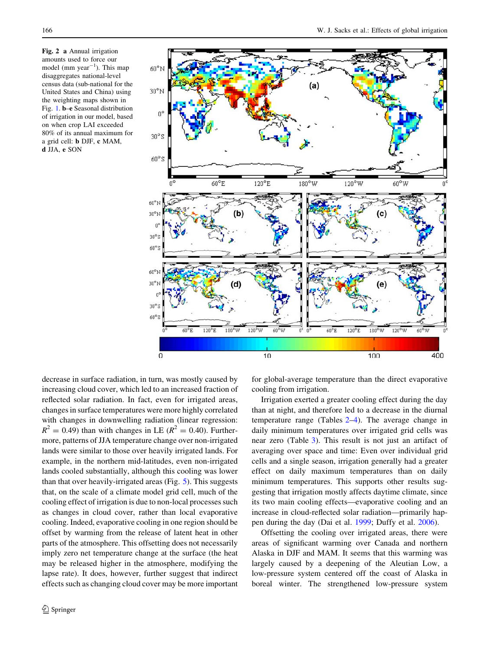<span id="page-8-0"></span>Fig. 2 a Annual irrigation amounts used to force our model (mm year<sup> $-1$ </sup>). This map disaggregates national-level census data (sub-national for the United States and China) using the weighting maps shown in Fig. [1](#page-3-0). b–e Seasonal distribution of irrigation in our model, based on when crop LAI exceeded 80% of its annual maximum for a grid cell: b DJF, c MAM, d JJA, e SON



decrease in surface radiation, in turn, was mostly caused by increasing cloud cover, which led to an increased fraction of reflected solar radiation. In fact, even for irrigated areas, changes in surface temperatures were more highly correlated with changes in downwelling radiation (linear regression:  $R^2 = 0.49$ ) than with changes in LE ( $R^2 = 0.40$ ). Furthermore, patterns of JJA temperature change over non-irrigated lands were similar to those over heavily irrigated lands. For example, in the northern mid-latitudes, even non-irrigated lands cooled substantially, although this cooling was lower than that over heavily-irrigated areas (Fig. [5](#page-12-0)). This suggests that, on the scale of a climate model grid cell, much of the cooling effect of irrigation is due to non-local processes such as changes in cloud cover, rather than local evaporative cooling. Indeed, evaporative cooling in one region should be offset by warming from the release of latent heat in other parts of the atmosphere. This offsetting does not necessarily imply zero net temperature change at the surface (the heat may be released higher in the atmosphere, modifying the lapse rate). It does, however, further suggest that indirect effects such as changing cloud cover may be more important for global-average temperature than the direct evaporative cooling from irrigation.

Irrigation exerted a greater cooling effect during the day than at night, and therefore led to a decrease in the diurnal temperature range (Tables [2–](#page-7-0)[4\)](#page-10-0). The average change in daily minimum temperatures over irrigated grid cells was near zero (Table [3\)](#page-10-0). This result is not just an artifact of averaging over space and time: Even over individual grid cells and a single season, irrigation generally had a greater effect on daily maximum temperatures than on daily minimum temperatures. This supports other results suggesting that irrigation mostly affects daytime climate, since its two main cooling effects—evaporative cooling and an increase in cloud-reflected solar radiation—primarily happen during the day (Dai et al. [1999](#page-16-0); Duffy et al. [2006](#page-16-0)).

Offsetting the cooling over irrigated areas, there were areas of significant warming over Canada and northern Alaska in DJF and MAM. It seems that this warming was largely caused by a deepening of the Aleutian Low, a low-pressure system centered off the coast of Alaska in boreal winter. The strengthened low-pressure system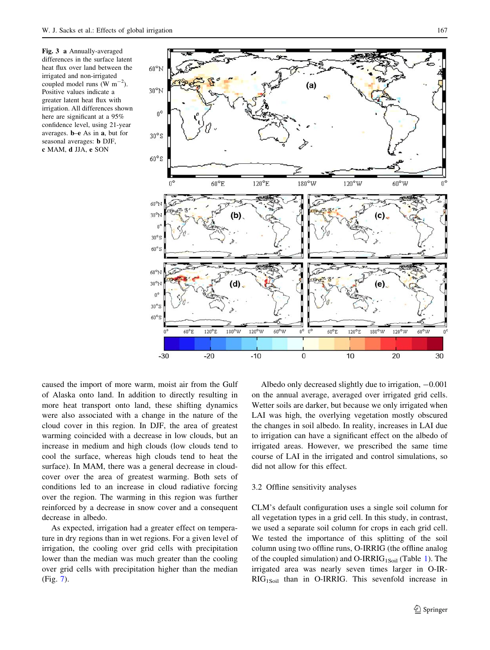<span id="page-9-0"></span>Fig. 3 a Annually-averaged differences in the surface latent heat flux over land between the irrigated and non-irrigated coupled model runs (W  $m^{-2}$ ). Positive values indicate a greater latent heat flux with irrigation. All differences shown here are significant at a 95% confidence level, using 21-year averages. b–e As in a, but for seasonal averages: b DJF, c MAM, d JJA, e SON



caused the import of more warm, moist air from the Gulf of Alaska onto land. In addition to directly resulting in more heat transport onto land, these shifting dynamics were also associated with a change in the nature of the cloud cover in this region. In DJF, the area of greatest warming coincided with a decrease in low clouds, but an increase in medium and high clouds (low clouds tend to cool the surface, whereas high clouds tend to heat the surface). In MAM, there was a general decrease in cloudcover over the area of greatest warming. Both sets of conditions led to an increase in cloud radiative forcing over the region. The warming in this region was further reinforced by a decrease in snow cover and a consequent decrease in albedo.

As expected, irrigation had a greater effect on temperature in dry regions than in wet regions. For a given level of irrigation, the cooling over grid cells with precipitation lower than the median was much greater than the cooling over grid cells with precipitation higher than the median (Fig. [7](#page-12-0)).

Albedo only decreased slightly due to irrigation,  $-0.001$ on the annual average, averaged over irrigated grid cells. Wetter soils are darker, but because we only irrigated when LAI was high, the overlying vegetation mostly obscured the changes in soil albedo. In reality, increases in LAI due to irrigation can have a significant effect on the albedo of irrigated areas. However, we prescribed the same time course of LAI in the irrigated and control simulations, so did not allow for this effect.

#### 3.2 Offline sensitivity analyses

CLM's default configuration uses a single soil column for all vegetation types in a grid cell. In this study, in contrast, we used a separate soil column for crops in each grid cell. We tested the importance of this splitting of the soil column using two offline runs, O-IRRIG (the offline analog of the coupled simulation) and O-IRRIG<sub>[1](#page-5-0)Soil</sub> (Table 1). The irrigated area was nearly seven times larger in O-IR-RIG<sub>1Soil</sub> than in O-IRRIG. This sevenfold increase in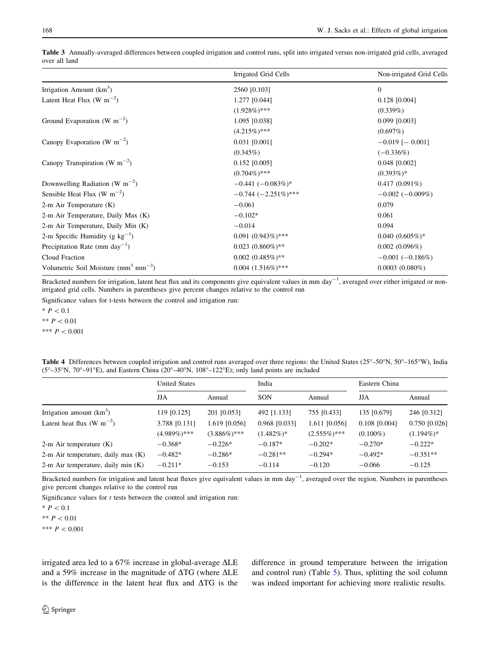|                                            | Irrigated Grid Cells      | Non-irrigated Grid Cells |
|--------------------------------------------|---------------------------|--------------------------|
| Irrigation Amount $(km3)$                  | 2560 [0.103]              | $\Omega$                 |
| Latent Heat Flux (W $m^{-2}$ )             | 1.277 [0.044]             | $0.128$ [0.004]          |
|                                            | $(1.928\%)$ ***           | (0.339%)                 |
| Ground Evaporation (W $m^{-2}$ )           | 1.095 [0.038]             | $0.099$ [0.003]          |
|                                            | $(4.215\%)$ ***           | (0.697%)                 |
| Canopy Evaporation (W $m^{-2}$ )           | $0.031$ [0.001]           | $-0.019$ [- 0.001]       |
|                                            | $(0.345\%)$               | $(-0.336%)$              |
| Canopy Transpiration (W $m^{-2}$ )         | $0.152$ [0.005]           | $0.048$ [0.002]          |
|                                            | $(0.704\%)$ ***           | $(0.393\%)*$             |
| Downwelling Radiation (W $m^{-2}$ )        | $-0.441(-0.083\%)*$       | $0.417(0.091\%)$         |
| Sensible Heat Flux (W $m^{-2}$ )           | $-0.744$ $(-2.251\%)$ *** | $-0.002(-0.009\%)$       |
| $2-m$ Air Temperature $(K)$                | $-0.061$                  | 0.079                    |
| 2-m Air Temperature, Daily Max (K)         | $-0.102*$                 | 0.061                    |
| 2-m Air Temperature, Daily Min (K)         | $-0.014$                  | 0.094                    |
| 2-m Specific Humidity (g $kg^{-1}$ )       | $0.091(0.943\%)$ ***      | $0.040~(0.605\%)*$       |
| Precipitation Rate (mm day <sup>-1</sup> ) | $0.023$ $(0.860\%)**$     | 0.002(0.096%)            |
| Cloud Fraction                             | $0.002$ $(0.485\%)**$     | $-0.001(-0.186%)$        |
| Volumetric Soil Moisture $(mm3 mm-3)$      | $0.004$ $(1.516\%)$ ***   | $0.0003(0.080\%)$        |

<span id="page-10-0"></span>Table 3 Annually-averaged differences between coupled irrigation and control runs, split into irrigated versus non-irrigated grid cells, averaged over all land

Bracketed numbers for irrigation, latent heat flux and its components give equivalent values in mm day<sup>-1</sup>, averaged over either irrigated or nonirrigated grid cells. Numbers in parentheses give percent changes relative to the control run

Significance values for t-tests between the control and irrigation run:

 $* P < 0.1$ \*\*  $P < 0.01$ \*\*\*  $P < 0.001$ 

| <b>Table 4</b> Differences between coupled irrigation and control runs averaged over three regions: the United States ( $25^{\circ}$ –50°N, $50^{\circ}$ –165°W), India |  |
|-------------------------------------------------------------------------------------------------------------------------------------------------------------------------|--|
| $(5^{\circ}-35^{\circ}N, 70^{\circ}-91^{\circ}E)$ , and Eastern China (20°–40°N, 108°–122°E); only land points are included                                             |  |

|                                        | <b>United States</b> |                | India         |                 | Eastern China   |                 |
|----------------------------------------|----------------------|----------------|---------------|-----------------|-----------------|-----------------|
|                                        | JJА                  | Annual         | <b>SON</b>    | Annual          | <b>JJA</b>      | Annual          |
| Irrigation amount $(km^3)$             | 119 [0.125]          | 201 [0.053]    | 492 [1.133]   | 755 [0.433]     | 135 [0.679]     | 246 [0.312]     |
| Latent heat flux (W $m^{-2}$ )         | 3.788 [0.131]        | 1.619 [0.056]  | 0.968 [0.033] | 1.611 [0.056]   | $0.108$ [0.004] | $0.750$ [0.026] |
|                                        | $(4.989\%)***$       | $(3.886\%)***$ | $(1.482\%)*$  | $(2.555\%)$ *** | $(0.100\%)$     | $(1.194\%)*$    |
| $2-m$ Air temperature $(K)$            | $-0.368*$            | $-0.226*$      | $-0.187*$     | $-0.202*$       | $-0.270*$       | $-0.222*$       |
| $2-m$ Air temperature, daily max $(K)$ | $-0.482*$            | $-0.286*$      | $-0.281**$    | $-0.294*$       | $-0.492*$       | $-0.351**$      |
| $2-m$ Air temperature, daily min $(K)$ | $-0.211*$            | $-0.153$       | $-0.114$      | $-0.120$        | $-0.066$        | $-0.125$        |

Bracketed numbers for irrigation and latent heat fluxes give equivalent values in mm day<sup>-1</sup>, averaged over the region. Numbers in parentheses give percent changes relative to the control run

Significance values for  $t$  tests between the control and irrigation run:

 $* P < 0.1$ 

\*\*  $P < 0.01$ 

\*\*\*  $P < 0.001$ 

irrigated area led to a  $67\%$  increase in global-average  $\Delta$ LE and a 59% increase in the magnitude of  $\Delta TG$  (where  $\Delta LE$ is the difference in the latent heat flux and  $\Delta TG$  is the difference in ground temperature between the irrigation and control run) (Table [5\)](#page-11-0). Thus, splitting the soil column was indeed important for achieving more realistic results.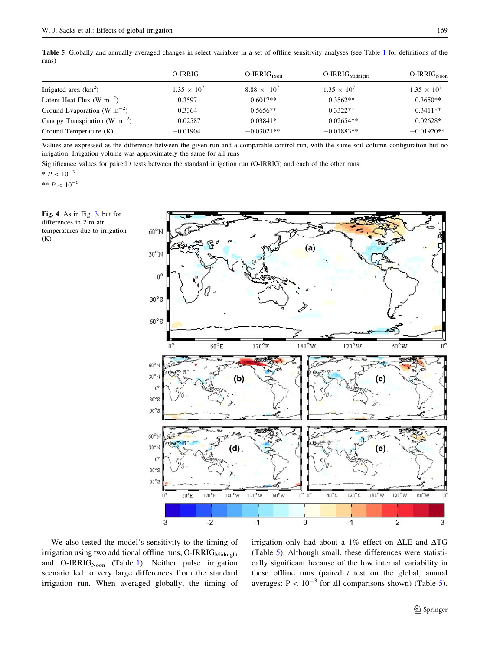<span id="page-11-0"></span>Table 5 Globally and annually-averaged changes in select variables in a set of offline sensitivity analyses (see Table [1](#page-5-0) for definitions of the runs)

|                                    | O-IRRIG              | $O-IRRIG1Soil$       | $O$ -IRRI $G_{Midnight}$ | $O-IRRIGNoon$        |
|------------------------------------|----------------------|----------------------|--------------------------|----------------------|
| Irrigated area $(km^2)$            | $1.35 \times 10^{7}$ | $8.88 \times 10^{7}$ | $1.35 \times 10^{7}$     | $1.35 \times 10^{7}$ |
| Latent Heat Flux (W $m^{-2}$ )     | 0.3597               | $0.6017**$           | $0.3562**$               | $0.3650**$           |
| Ground Evaporation (W $m^{-2}$ )   | 0.3364               | $0.5656**$           | $0.3322**$               | $0.3411**$           |
| Canopy Transpiration (W $m^{-2}$ ) | 0.02587              | $0.03841*$           | $0.02654**$              | $0.02628*$           |
| Ground Temperature (K)             | $-0.01904$           | $-0.03021**$         | $-0.01883**$             | $-0.01920**$         |

Values are expressed as the difference between the given run and a comparable control run, with the same soil column configuration but no irrigation. Irrigation volume was approximately the same for all runs

Significance values for paired  $t$  tests between the standard irrigation run (O-IRRIG) and each of the other runs:

 $* P < 10^{-3}$ 

\*\*  $P < 10^{-6}$ 

Fig. 4 As in Fig. [3](#page-9-0), but for differences in 2-m air temperatures due to irrigation (K)



We also tested the model's sensitivity to the timing of irrigation using two additional offline runs, O-IRRIGMidnight and O-IRRIG $_{\text{Noon}}$  (Table [1](#page-5-0)). Neither pulse irrigation scenario led to very large differences from the standard irrigation run. When averaged globally, the timing of

irrigation only had about a 1% effect on  $\Delta$ LE and  $\Delta$ TG (Table 5). Although small, these differences were statistically significant because of the low internal variability in these offline runs (paired  $t$  test on the global, annual averages:  $P < 10^{-3}$  for all comparisons shown) (Table 5).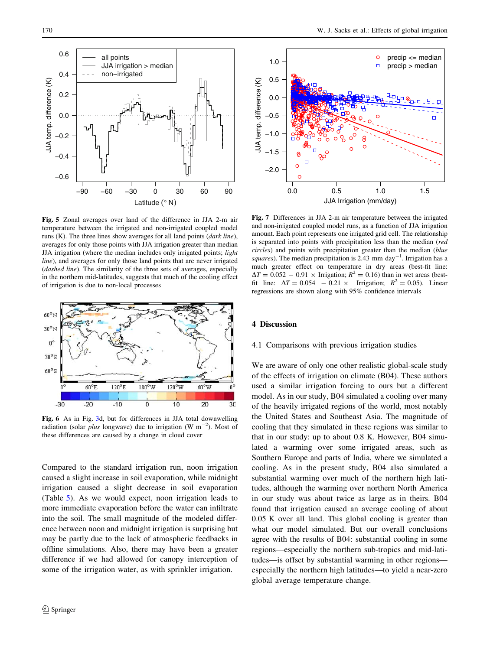<span id="page-12-0"></span>

Fig. 5 Zonal averages over land of the difference in JJA 2-m air temperature between the irrigated and non-irrigated coupled model runs (K). The three lines show averages for all land points (dark line), averages for only those points with JJA irrigation greater than median JJA irrigation (where the median includes only irrigated points; light line), and averages for only those land points that are never irrigated (dashed line). The similarity of the three sets of averages, especially in the northern mid-latitudes, suggests that much of the cooling effect of irrigation is due to non-local processes



Fig. 6 As in Fig. [3d](#page-9-0), but for differences in JJA total downwelling radiation (solar *plus* longwave) due to irrigation (W m<sup>-2</sup>). Most of these differences are caused by a change in cloud cover

Compared to the standard irrigation run, noon irrigation caused a slight increase in soil evaporation, while midnight irrigation caused a slight decrease in soil evaporation (Table [5](#page-11-0)). As we would expect, noon irrigation leads to more immediate evaporation before the water can infiltrate into the soil. The small magnitude of the modeled difference between noon and midnight irrigation is surprising but may be partly due to the lack of atmospheric feedbacks in offline simulations. Also, there may have been a greater difference if we had allowed for canopy interception of some of the irrigation water, as with sprinkler irrigation.



Fig. 7 Differences in JJA 2-m air temperature between the irrigated and non-irrigated coupled model runs, as a function of JJA irrigation amount. Each point represents one irrigated grid cell. The relationship is separated into points with precipitation less than the median (red circles) and points with precipitation greater than the median (blue squares). The median precipitation is 2.43 mm day<sup>-1</sup>. Irrigation has a much greater effect on temperature in dry areas (best-fit line:  $\Delta T = 0.052 - 0.91 \times$  Irrigation;  $R^2 = 0.16$ ) than in wet areas (bestfit line:  $\Delta T = 0.054 - 0.21 \times$  Irrigation;  $R^2 = 0.05$ ). Linear regressions are shown along with 95% confidence intervals

#### 4 Discussion

#### 4.1 Comparisons with previous irrigation studies

We are aware of only one other realistic global-scale study of the effects of irrigation on climate (B04). These authors used a similar irrigation forcing to ours but a different model. As in our study, B04 simulated a cooling over many of the heavily irrigated regions of the world, most notably the United States and Southeast Asia. The magnitude of cooling that they simulated in these regions was similar to that in our study: up to about 0.8 K. However, B04 simulated a warming over some irrigated areas, such as Southern Europe and parts of India, where we simulated a cooling. As in the present study, B04 also simulated a substantial warming over much of the northern high latitudes, although the warming over northern North America in our study was about twice as large as in theirs. B04 found that irrigation caused an average cooling of about 0.05 K over all land. This global cooling is greater than what our model simulated. But our overall conclusions agree with the results of B04: substantial cooling in some regions—especially the northern sub-tropics and mid-latitudes—is offset by substantial warming in other regions especially the northern high latitudes—to yield a near-zero global average temperature change.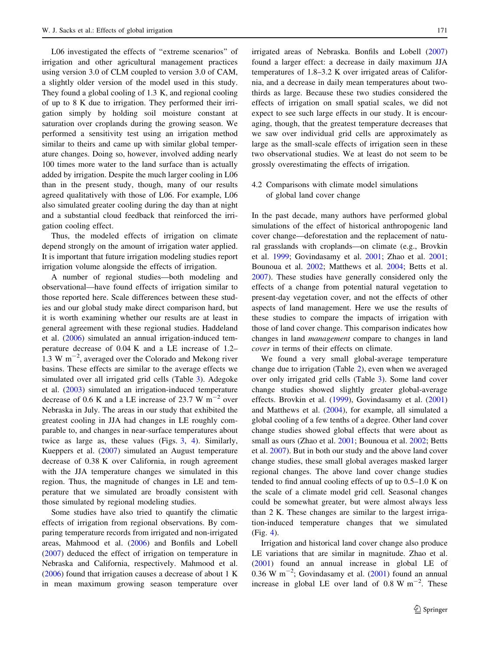L06 investigated the effects of "extreme scenarios" of irrigation and other agricultural management practices using version 3.0 of CLM coupled to version 3.0 of CAM, a slightly older version of the model used in this study. They found a global cooling of 1.3 K, and regional cooling of up to 8 K due to irrigation. They performed their irrigation simply by holding soil moisture constant at saturation over croplands during the growing season. We performed a sensitivity test using an irrigation method similar to theirs and came up with similar global temperature changes. Doing so, however, involved adding nearly 100 times more water to the land surface than is actually added by irrigation. Despite the much larger cooling in L06 than in the present study, though, many of our results agreed qualitatively with those of L06. For example, L06 also simulated greater cooling during the day than at night and a substantial cloud feedback that reinforced the irrigation cooling effect.

Thus, the modeled effects of irrigation on climate depend strongly on the amount of irrigation water applied. It is important that future irrigation modeling studies report irrigation volume alongside the effects of irrigation.

A number of regional studies—both modeling and observational—have found effects of irrigation similar to those reported here. Scale differences between these studies and our global study make direct comparison hard, but it is worth examining whether our results are at least in general agreement with these regional studies. Haddeland et al. ([2006](#page-16-0)) simulated an annual irrigation-induced temperature decrease of 0.04 K and a LE increase of 1.2– 1.3 W m<sup>-2</sup>, averaged over the Colorado and Mekong river basins. These effects are similar to the average effects we simulated over all irrigated grid cells (Table [3](#page-10-0)). Adegoke et al. ([2003\)](#page-16-0) simulated an irrigation-induced temperature decrease of 0.6 K and a LE increase of 23.7 W  $\text{m}^{-2}$  over Nebraska in July. The areas in our study that exhibited the greatest cooling in JJA had changes in LE roughly comparable to, and changes in near-surface temperatures about twice as large as, these values (Figs. [3](#page-9-0), [4\)](#page-11-0). Similarly, Kueppers et al. ([2007\)](#page-17-0) simulated an August temperature decrease of 0.38 K over California, in rough agreement with the JJA temperature changes we simulated in this region. Thus, the magnitude of changes in LE and temperature that we simulated are broadly consistent with those simulated by regional modeling studies.

Some studies have also tried to quantify the climatic effects of irrigation from regional observations. By comparing temperature records from irrigated and non-irrigated areas, Mahmood et al. ([2006\)](#page-17-0) and Bonfils and Lobell [\(2007](#page-16-0)) deduced the effect of irrigation on temperature in Nebraska and California, respectively. Mahmood et al. [\(2006](#page-17-0)) found that irrigation causes a decrease of about 1 K in mean maximum growing season temperature over irrigated areas of Nebraska. Bonfils and Lobell ([2007\)](#page-16-0) found a larger effect: a decrease in daily maximum JJA temperatures of 1.8–3.2 K over irrigated areas of California, and a decrease in daily mean temperatures about twothirds as large. Because these two studies considered the effects of irrigation on small spatial scales, we did not expect to see such large effects in our study. It is encouraging, though, that the greatest temperature decreases that we saw over individual grid cells are approximately as large as the small-scale effects of irrigation seen in these two observational studies. We at least do not seem to be grossly overestimating the effects of irrigation.

## 4.2 Comparisons with climate model simulations of global land cover change

In the past decade, many authors have performed global simulations of the effect of historical anthropogenic land cover change—deforestation and the replacement of natural grasslands with croplands—on climate (e.g., Brovkin et al. [1999;](#page-16-0) Govindasamy et al. [2001](#page-16-0); Zhao et al. [2001](#page-17-0); Bounoua et al. [2002;](#page-16-0) Matthews et al. [2004](#page-17-0); Betts et al. [2007](#page-16-0)). These studies have generally considered only the effects of a change from potential natural vegetation to present-day vegetation cover, and not the effects of other aspects of land management. Here we use the results of these studies to compare the impacts of irrigation with those of land cover change. This comparison indicates how changes in land management compare to changes in land cover in terms of their effects on climate.

We found a very small global-average temperature change due to irrigation (Table [2](#page-7-0)), even when we averaged over only irrigated grid cells (Table [3](#page-10-0)). Some land cover change studies showed slightly greater global-average effects. Brovkin et al. ([1999\)](#page-16-0), Govindasamy et al. ([2001\)](#page-16-0) and Matthews et al. ([2004\)](#page-17-0), for example, all simulated a global cooling of a few tenths of a degree. Other land cover change studies showed global effects that were about as small as ours (Zhao et al. [2001](#page-17-0); Bounoua et al. [2002](#page-16-0); Betts et al. [2007](#page-16-0)). But in both our study and the above land cover change studies, these small global averages masked larger regional changes. The above land cover change studies tended to find annual cooling effects of up to 0.5–1.0 K on the scale of a climate model grid cell. Seasonal changes could be somewhat greater, but were almost always less than 2 K. These changes are similar to the largest irrigation-induced temperature changes that we simulated (Fig. [4\)](#page-11-0).

Irrigation and historical land cover change also produce LE variations that are similar in magnitude. Zhao et al. [\(2001](#page-17-0)) found an annual increase in global LE of  $0.36$  W m<sup>-2</sup>; Govindasamy et al.  $(2001)$  $(2001)$  found an annual increase in global LE over land of  $0.8 \text{ W m}^{-2}$ . These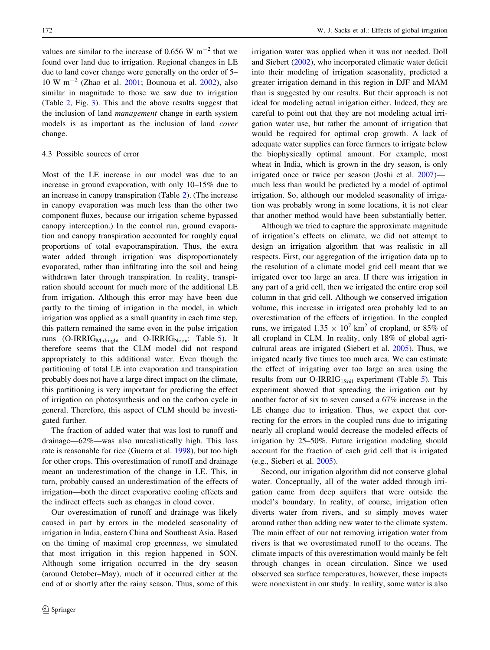values are similar to the increase of 0.656 W  $\text{m}^{-2}$  that we found over land due to irrigation. Regional changes in LE due to land cover change were generally on the order of 5–  $10 \text{ W m}^{-2}$  (Zhao et al. [2001](#page-17-0); Bounoua et al. [2002](#page-16-0)), also similar in magnitude to those we saw due to irrigation (Table [2](#page-7-0), Fig. [3](#page-9-0)). This and the above results suggest that the inclusion of land management change in earth system models is as important as the inclusion of land cover change.

#### 4.3 Possible sources of error

Most of the LE increase in our model was due to an increase in ground evaporation, with only 10–15% due to an increase in canopy transpiration (Table [2\)](#page-7-0). (The increase in canopy evaporation was much less than the other two component fluxes, because our irrigation scheme bypassed canopy interception.) In the control run, ground evaporation and canopy transpiration accounted for roughly equal proportions of total evapotranspiration. Thus, the extra water added through irrigation was disproportionately evaporated, rather than infiltrating into the soil and being withdrawn later through transpiration. In reality, transpiration should account for much more of the additional LE from irrigation. Although this error may have been due partly to the timing of irrigation in the model, in which irrigation was applied as a small quantity in each time step, this pattern remained the same even in the pulse irrigation runs (O-IRRIG $_{\text{Midnight}}$  and O-IRRIG $_{\text{Noon}}$ : Table [5\)](#page-11-0). It therefore seems that the CLM model did not respond appropriately to this additional water. Even though the partitioning of total LE into evaporation and transpiration probably does not have a large direct impact on the climate, this partitioning is very important for predicting the effect of irrigation on photosynthesis and on the carbon cycle in general. Therefore, this aspect of CLM should be investigated further.

The fraction of added water that was lost to runoff and drainage—62%—was also unrealistically high. This loss rate is reasonable for rice (Guerra et al. [1998\)](#page-16-0), but too high for other crops. This overestimation of runoff and drainage meant an underestimation of the change in LE. This, in turn, probably caused an underestimation of the effects of irrigation—both the direct evaporative cooling effects and the indirect effects such as changes in cloud cover.

Our overestimation of runoff and drainage was likely caused in part by errors in the modeled seasonality of irrigation in India, eastern China and Southeast Asia. Based on the timing of maximal crop greenness, we simulated that most irrigation in this region happened in SON. Although some irrigation occurred in the dry season (around October–May), much of it occurred either at the end of or shortly after the rainy season. Thus, some of this irrigation water was applied when it was not needed. Doll and Siebert ([2002\)](#page-16-0), who incorporated climatic water deficit into their modeling of irrigation seasonality, predicted a greater irrigation demand in this region in DJF and MAM than is suggested by our results. But their approach is not ideal for modeling actual irrigation either. Indeed, they are careful to point out that they are not modeling actual irrigation water use, but rather the amount of irrigation that would be required for optimal crop growth. A lack of adequate water supplies can force farmers to irrigate below the biophysically optimal amount. For example, most wheat in India, which is grown in the dry season, is only irrigated once or twice per season (Joshi et al. [2007\)](#page-17-0) much less than would be predicted by a model of optimal irrigation. So, although our modeled seasonality of irrigation was probably wrong in some locations, it is not clear that another method would have been substantially better.

Although we tried to capture the approximate magnitude of irrigation's effects on climate, we did not attempt to design an irrigation algorithm that was realistic in all respects. First, our aggregation of the irrigation data up to the resolution of a climate model grid cell meant that we irrigated over too large an area. If there was irrigation in any part of a grid cell, then we irrigated the entire crop soil column in that grid cell. Although we conserved irrigation volume, this increase in irrigated area probably led to an overestimation of the effects of irrigation. In the coupled runs, we irrigated  $1.35 \times 10^7$  km<sup>2</sup> of cropland, or 85% of all cropland in CLM. In reality, only 18% of global agricultural areas are irrigated (Siebert et al. [2005](#page-17-0)). Thus, we irrigated nearly five times too much area. We can estimate the effect of irrigating over too large an area using the results from our O-IRRIG<sub>1Soil</sub> experiment (Table [5\)](#page-11-0). This experiment showed that spreading the irrigation out by another factor of six to seven caused a 67% increase in the LE change due to irrigation. Thus, we expect that correcting for the errors in the coupled runs due to irrigating nearly all cropland would decrease the modeled effects of irrigation by 25–50%. Future irrigation modeling should account for the fraction of each grid cell that is irrigated (e.g., Siebert et al. [2005](#page-17-0)).

Second, our irrigation algorithm did not conserve global water. Conceptually, all of the water added through irrigation came from deep aquifers that were outside the model's boundary. In reality, of course, irrigation often diverts water from rivers, and so simply moves water around rather than adding new water to the climate system. The main effect of our not removing irrigation water from rivers is that we overestimated runoff to the oceans. The climate impacts of this overestimation would mainly be felt through changes in ocean circulation. Since we used observed sea surface temperatures, however, these impacts were nonexistent in our study. In reality, some water is also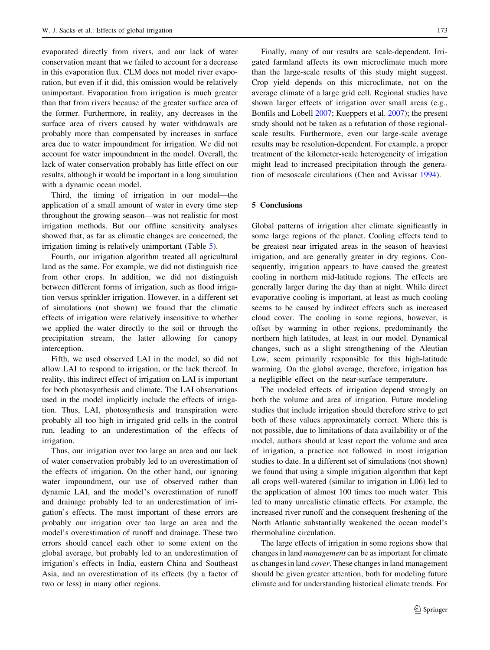evaporated directly from rivers, and our lack of water conservation meant that we failed to account for a decrease in this evaporation flux. CLM does not model river evaporation, but even if it did, this omission would be relatively unimportant. Evaporation from irrigation is much greater than that from rivers because of the greater surface area of the former. Furthermore, in reality, any decreases in the surface area of rivers caused by water withdrawals are probably more than compensated by increases in surface area due to water impoundment for irrigation. We did not account for water impoundment in the model. Overall, the lack of water conservation probably has little effect on our results, although it would be important in a long simulation with a dynamic ocean model.

Third, the timing of irrigation in our model—the application of a small amount of water in every time step throughout the growing season—was not realistic for most irrigation methods. But our offline sensitivity analyses showed that, as far as climatic changes are concerned, the irrigation timing is relatively unimportant (Table [5](#page-11-0)).

Fourth, our irrigation algorithm treated all agricultural land as the same. For example, we did not distinguish rice from other crops. In addition, we did not distinguish between different forms of irrigation, such as flood irrigation versus sprinkler irrigation. However, in a different set of simulations (not shown) we found that the climatic effects of irrigation were relatively insensitive to whether we applied the water directly to the soil or through the precipitation stream, the latter allowing for canopy interception.

Fifth, we used observed LAI in the model, so did not allow LAI to respond to irrigation, or the lack thereof. In reality, this indirect effect of irrigation on LAI is important for both photosynthesis and climate. The LAI observations used in the model implicitly include the effects of irrigation. Thus, LAI, photosynthesis and transpiration were probably all too high in irrigated grid cells in the control run, leading to an underestimation of the effects of irrigation.

Thus, our irrigation over too large an area and our lack of water conservation probably led to an overestimation of the effects of irrigation. On the other hand, our ignoring water impoundment, our use of observed rather than dynamic LAI, and the model's overestimation of runoff and drainage probably led to an underestimation of irrigation's effects. The most important of these errors are probably our irrigation over too large an area and the model's overestimation of runoff and drainage. These two errors should cancel each other to some extent on the global average, but probably led to an underestimation of irrigation's effects in India, eastern China and Southeast Asia, and an overestimation of its effects (by a factor of two or less) in many other regions.

Finally, many of our results are scale-dependent. Irrigated farmland affects its own microclimate much more than the large-scale results of this study might suggest. Crop yield depends on this microclimate, not on the average climate of a large grid cell. Regional studies have shown larger effects of irrigation over small areas (e.g., Bonfils and Lobell [2007](#page-16-0); Kueppers et al. [2007\)](#page-17-0); the present study should not be taken as a refutation of those regionalscale results. Furthermore, even our large-scale average results may be resolution-dependent. For example, a proper treatment of the kilometer-scale heterogeneity of irrigation might lead to increased precipitation through the generation of mesoscale circulations (Chen and Avissar [1994\)](#page-16-0).

#### 5 Conclusions

Global patterns of irrigation alter climate significantly in some large regions of the planet. Cooling effects tend to be greatest near irrigated areas in the season of heaviest irrigation, and are generally greater in dry regions. Consequently, irrigation appears to have caused the greatest cooling in northern mid-latitude regions. The effects are generally larger during the day than at night. While direct evaporative cooling is important, at least as much cooling seems to be caused by indirect effects such as increased cloud cover. The cooling in some regions, however, is offset by warming in other regions, predominantly the northern high latitudes, at least in our model. Dynamical changes, such as a slight strengthening of the Aleutian Low, seem primarily responsible for this high-latitude warming. On the global average, therefore, irrigation has a negligible effect on the near-surface temperature.

The modeled effects of irrigation depend strongly on both the volume and area of irrigation. Future modeling studies that include irrigation should therefore strive to get both of these values approximately correct. Where this is not possible, due to limitations of data availability or of the model, authors should at least report the volume and area of irrigation, a practice not followed in most irrigation studies to date. In a different set of simulations (not shown) we found that using a simple irrigation algorithm that kept all crops well-watered (similar to irrigation in L06) led to the application of almost 100 times too much water. This led to many unrealistic climatic effects. For example, the increased river runoff and the consequent freshening of the North Atlantic substantially weakened the ocean model's thermohaline circulation.

The large effects of irrigation in some regions show that changes in land management can be as important for climate as changes in land cover. These changes in land management should be given greater attention, both for modeling future climate and for understanding historical climate trends. For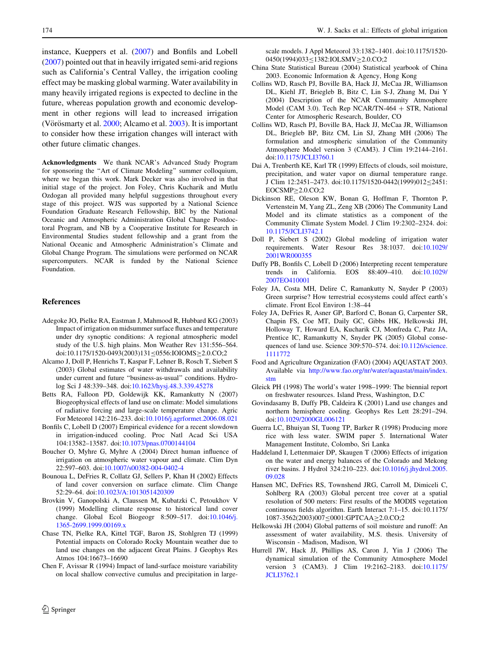<span id="page-16-0"></span>instance, Kueppers et al. ([2007](#page-17-0)) and Bonfils and Lobell (2007) pointed out that in heavily irrigated semi-arid regions such as California's Central Valley, the irrigation cooling effect may be masking global warming. Water availability in many heavily irrigated regions is expected to decline in the future, whereas population growth and economic development in other regions will lead to increased irrigation (Vörösmarty et al.  $2000$ ; Alcamo et al.  $2003$ ). It is important to consider how these irrigation changes will interact with other future climatic changes.

Acknowledgments We thank NCAR's Advanced Study Program for sponsoring the ''Art of Climate Modeling'' summer colloquium, where we began this work. Mark Decker was also involved in that initial stage of the project. Jon Foley, Chris Kucharik and Mutlu Ozdogan all provided many helpful suggestions throughout every stage of this project. WJS was supported by a National Science Foundation Graduate Research Fellowship, BIC by the National Oceanic and Atmospheric Administration Global Change Postdoctoral Program, and NB by a Cooperative Institute for Research in Environmental Studies student fellowship and a grant from the National Oceanic and Atmospheric Administration's Climate and Global Change Program. The simulations were performed on NCAR supercomputers. NCAR is funded by the National Science Foundation.

#### References

- Adegoke JO, Pielke RA, Eastman J, Mahmood R, Hubbard KG (2003) Impact of irrigation on midsummer surface fluxes and temperature under dry synoptic conditions: A regional atmospheric model study of the U.S. high plains. Mon Weather Rev 131:556–564. doi:10.1175/1520-0493(2003)131<0556:IOIOMS>2.0.CO;2
- Alcamo J, Doll P, Henrichs T, Kaspar F, Lehner B, Rosch T, Siebert S (2003) Global estimates of water withdrawals and availability under current and future ''business-as-usual'' conditions. Hydrolog Sci J 48:339–348. doi[:10.1623/hysj.48.3.339.45278](http://dx.doi.org/10.1623/hysj.48.3.339.45278)
- Betts RA, Falloon PD, Goldewijk KK, Ramankutty N (2007) Biogeophysical effects of land use on climate: Model simulations of radiative forcing and large-scale temperature change. Agric For Meteorol 142:216–233. doi:[10.1016/j.agrformet.2006.08.021](http://dx.doi.org/10.1016/j.agrformet.2006.08.021)
- Bonfils C, Lobell D (2007) Empirical evidence for a recent slowdown in irrigation-induced cooling. Proc Natl Acad Sci USA 104:13582–13587. doi:[10.1073/pnas.0700144104](http://dx.doi.org/10.1073/pnas.0700144104)
- Boucher O, Myhre G, Myhre A (2004) Direct human influence of irrigation on atmospheric water vapour and climate. Clim Dyn 22:597–603. doi:[10.1007/s00382-004-0402-4](http://dx.doi.org/10.1007/s00382-004-0402-4)
- Bounoua L, DeFries R, Collatz GJ, Sellers P, Khan H (2002) Effects of land cover conversion on surface climate. Clim Change 52:29–64. doi[:10.1023/A:1013051420309](http://dx.doi.org/10.1023/A:1013051420309)
- Brovkin V, Ganopolski A, Claussen M, Kubatzki C, Petoukhov V (1999) Modelling climate response to historical land cover change. Global Ecol Biogeogr 8:509–517. doi:[10.1046/j.](http://dx.doi.org/10.1046/j.1365-2699.1999.00169.x) [1365-2699.1999.00169.x](http://dx.doi.org/10.1046/j.1365-2699.1999.00169.x)
- Chase TN, Pielke RA, Kittel TGF, Baron JS, Stohlgren TJ (1999) Potential impacts on Colorado Rocky Mountain weather due to land use changes on the adjacent Great Plains. J Geophys Res Atmos 104:16673–16690
- Chen F, Avissar R (1994) Impact of land-surface moisture variability on local shallow convective cumulus and precipitation in large-

scale models. J Appl Meteorol 33:1382–1401. doi:10.1175/1520- 0450(1994)033<1382:IOLSMV>2.0.CO;2

- China State Statistical Bureau (2004) Statistical yearbook of China 2003. Economic Information & Agency, Hong Kong
- Collins WD, Rasch PJ, Boville BA, Hack JJ, McCaa JR, Williamson DL, Kiehl JT, Briegleb B, Bitz C, Lin S-J, Zhang M, Dai Y (2004) Description of the NCAR Community Atmosphere Model (CAM 3.0). Tech Rep NCAR/TN-464 + STR, National Center for Atmospheric Research, Boulder, CO
- Collins WD, Rasch PJ, Boville BA, Hack JJ, McCaa JR, Williamson DL, Briegleb BP, Bitz CM, Lin SJ, Zhang MH (2006) The formulation and atmospheric simulation of the Community Atmosphere Model version 3 (CAM3). J Clim 19:2144–2161. doi[:10.1175/JCLI3760.1](http://dx.doi.org/10.1175/JCLI3760.1)
- Dai A, Trenberth KE, Karl TR (1999) Effects of clouds, soil moisture, precipitation, and water vapor on diurnal temperature range. J Clim 12:2451-2473. doi:10.1175/1520-0442(1999)012<2451:  $EOCSMP \geq 2.0$ .CO;2
- Dickinson RE, Oleson KW, Bonan G, Hoffman F, Thornton P, Vertenstein M, Yang ZL, Zeng XB (2006) The Community Land Model and its climate statistics as a component of the Community Climate System Model. J Clim 19:2302–2324. doi: [10.1175/JCLI3742.1](http://dx.doi.org/10.1175/JCLI3742.1)
- Doll P, Siebert S (2002) Global modeling of irrigation water requirements. Water Resour Res 38:1037. doi[:10.1029/](http://dx.doi.org/10.1029/2001WR000355) [2001WR000355](http://dx.doi.org/10.1029/2001WR000355)
- Duffy PB, Bonfils C, Lobell D (2006) Interpreting recent temperature trends in California. EOS 88:409–410. doi[:10.1029/](http://dx.doi.org/10.1029/2007EO410001) [2007EO410001](http://dx.doi.org/10.1029/2007EO410001)
- Foley JA, Costa MH, Delire C, Ramankutty N, Snyder P (2003) Green surprise? How terrestrial ecosystems could affect earth's climate. Front Ecol Environ 1:38–44
- Foley JA, DeFries R, Asner GP, Barford C, Bonan G, Carpenter SR, Chapin FS, Coe MT, Daily GC, Gibbs HK, Helkowski JH, Holloway T, Howard EA, Kucharik CJ, Monfreda C, Patz JA, Prentice IC, Ramankutty N, Snyder PK (2005) Global consequences of land use. Science 309:570–574. doi[:10.1126/science.](http://dx.doi.org/10.1126/science.1111772) [1111772](http://dx.doi.org/10.1126/science.1111772)
- Food and Agriculture Organization (FAO) (2004) AQUASTAT 2003. Available via [http://www.fao.org/nr/water/aquastat/main/index.](http://www.fao.org/nr/water/aquastat/main/index.stm) [stm](http://www.fao.org/nr/water/aquastat/main/index.stm)
- Gleick PH (1998) The world's water 1998–1999: The biennial report on freshwater resources. Island Press, Washington, D.C
- Govindasamy B, Duffy PB, Caldeira K (2001) Land use changes and northern hemisphere cooling. Geophys Res Lett 28:291–294. doi[:10.1029/2000GL006121](http://dx.doi.org/10.1029/2000GL006121)
- Guerra LC, Bhuiyan SI, Tuong TP, Barker R (1998) Producing more rice with less water. SWIM paper 5. International Water Management Institute, Colombo, Sri Lanka
- Haddeland I, Lettenmaier DP, Skaugen T (2006) Effects of irrigation on the water and energy balances of the Colorado and Mekong river basins. J Hydrol 324:210–223. doi[:10.1016/j.jhydrol.2005.](http://dx.doi.org/10.1016/j.jhydrol.2005.09.028) [09.028](http://dx.doi.org/10.1016/j.jhydrol.2005.09.028)
- Hansen MC, DeFries RS, Townshend JRG, Carroll M, Dimiceli C, Sohlberg RA (2003) Global percent tree cover at a spatial resolution of 500 meters: First results of the MODIS vegetation continuous fields algorithm. Earth Interact 7:1–15. doi:10.1175/ 1087-3562(2003)007<0001:GPTCAA>2.0.CO;2
- Helkowski JH (2004) Global patterns of soil moisture and runoff: An assessment of water availability, M.S. thesis. University of Wisconsin - Madison, Madison, WI
- Hurrell JW, Hack JJ, Phillips AS, Caron J, Yin J (2006) The dynamical simulation of the Community Atmosphere Model version 3 (CAM3). J Clim 19:2162–2183. doi[:10.1175/](http://dx.doi.org/10.1175/JCLI3762.1) [JCLI3762.1](http://dx.doi.org/10.1175/JCLI3762.1)